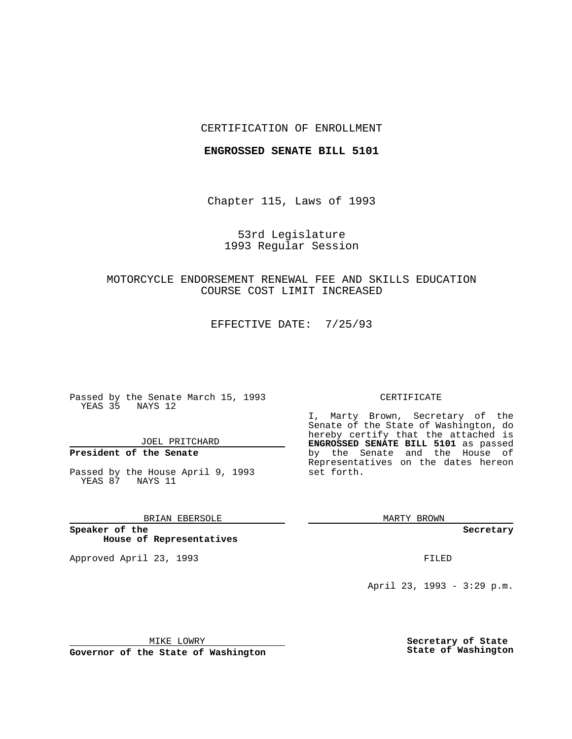### CERTIFICATION OF ENROLLMENT

#### **ENGROSSED SENATE BILL 5101**

Chapter 115, Laws of 1993

53rd Legislature 1993 Regular Session

# MOTORCYCLE ENDORSEMENT RENEWAL FEE AND SKILLS EDUCATION COURSE COST LIMIT INCREASED

EFFECTIVE DATE: 7/25/93

Passed by the Senate March 15, 1993 YEAS 35 NAYS 12

JOEL PRITCHARD

**President of the Senate**

Passed by the House April 9, 1993 YEAS 87 NAYS 11

BRIAN EBERSOLE

**Speaker of the House of Representatives**

Approved April 23, 1993 **FILED** 

#### CERTIFICATE

I, Marty Brown, Secretary of the Senate of the State of Washington, do hereby certify that the attached is **ENGROSSED SENATE BILL 5101** as passed by the Senate and the House of Representatives on the dates hereon set forth.

MARTY BROWN

**Secretary**

April 23, 1993 - 3:29 p.m.

MIKE LOWRY

**Governor of the State of Washington**

**Secretary of State State of Washington**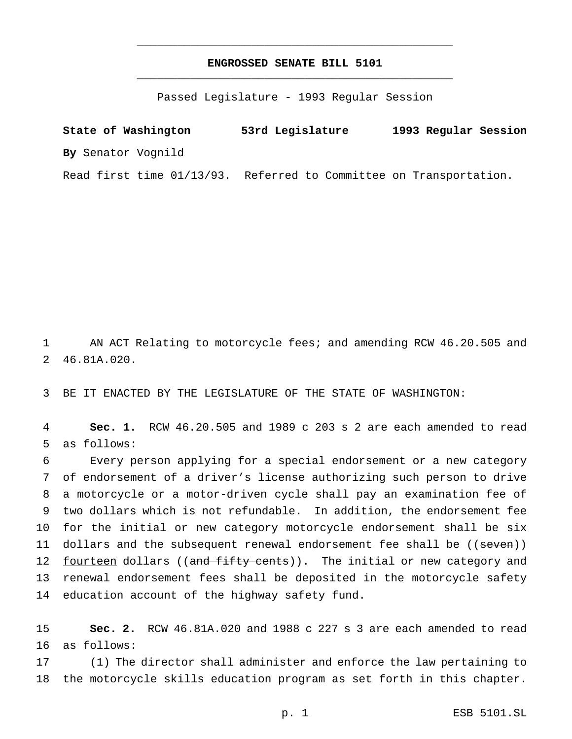## **ENGROSSED SENATE BILL 5101** \_\_\_\_\_\_\_\_\_\_\_\_\_\_\_\_\_\_\_\_\_\_\_\_\_\_\_\_\_\_\_\_\_\_\_\_\_\_\_\_\_\_\_\_\_\_\_

\_\_\_\_\_\_\_\_\_\_\_\_\_\_\_\_\_\_\_\_\_\_\_\_\_\_\_\_\_\_\_\_\_\_\_\_\_\_\_\_\_\_\_\_\_\_\_

Passed Legislature - 1993 Regular Session

**State of Washington 53rd Legislature 1993 Regular Session By** Senator Vognild Read first time 01/13/93. Referred to Committee on Transportation.

1 AN ACT Relating to motorcycle fees; and amending RCW 46.20.505 and 2 46.81A.020.

3 BE IT ENACTED BY THE LEGISLATURE OF THE STATE OF WASHINGTON:

4 **Sec. 1.** RCW 46.20.505 and 1989 c 203 s 2 are each amended to read 5 as follows:

 Every person applying for a special endorsement or a new category of endorsement of a driver's license authorizing such person to drive a motorcycle or a motor-driven cycle shall pay an examination fee of two dollars which is not refundable. In addition, the endorsement fee for the initial or new category motorcycle endorsement shall be six 11 dollars and the subsequent renewal endorsement fee shall be ((seven)) 12 fourteen dollars ((and fifty cents)). The initial or new category and renewal endorsement fees shall be deposited in the motorcycle safety education account of the highway safety fund.

15 **Sec. 2.** RCW 46.81A.020 and 1988 c 227 s 3 are each amended to read 16 as follows:

17 (1) The director shall administer and enforce the law pertaining to 18 the motorcycle skills education program as set forth in this chapter.